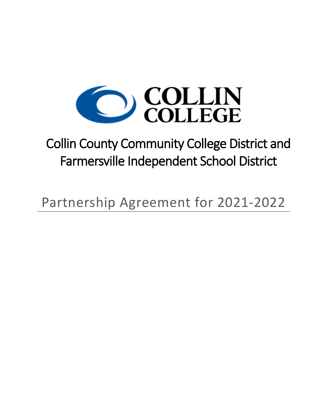

# Collin County Community College District and Farmersville Independent School District

# Partnership Agreement for 2021-2022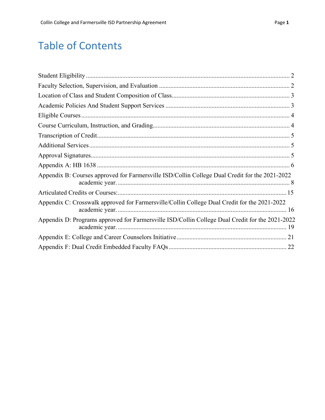# Table of Contents

| Appendix B: Courses approved for Farmersville ISD/Collin College Dual Credit for the 2021-2022  |
|-------------------------------------------------------------------------------------------------|
|                                                                                                 |
| Appendix C: Crosswalk approved for Farmersville/Collin College Dual Credit for the 2021-2022    |
| Appendix D: Programs approved for Farmersville ISD/Collin College Dual Credit for the 2021-2022 |
|                                                                                                 |
|                                                                                                 |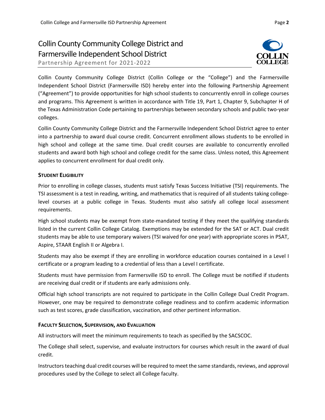# Collin County Community College District and Farmersville Independent School District

Partnership Agreement for 2021-2022



Collin County Community College District (Collin College or the "College") and the Farmersville Independent School District (Farmersville ISD) hereby enter into the following Partnership Agreement ("Agreement") to provide opportunities for high school students to concurrently enroll in college courses and programs. This Agreement is written in accordance with Title 19, Part 1, Chapter 9, Subchapter H of the Texas Administration Code pertaining to partnerships between secondary schools and public two-year colleges.

Collin County Community College District and the Farmersville Independent School District agree to enter into a partnership to award dual course credit. Concurrent enrollment allows students to be enrolled in high school and college at the same time. Dual credit courses are available to concurrently enrolled students and award both high school and college credit for the same class. Unless noted, this Agreement applies to concurrent enrollment for dual credit only.

#### **STUDENT ELIGIBILITY**

Prior to enrolling in college classes, students must satisfy Texas Success Initiative (TSI) requirements. The TSI assessment is a test in reading, writing, and mathematics that is required of all students taking collegelevel courses at a public college in Texas. Students must also satisfy all college local assessment requirements.

High school students may be exempt from state-mandated testing if they meet the qualifying standards listed in the current Collin College Catalog. Exemptions may be extended for the SAT or ACT. Dual credit students may be able to use temporary waivers (TSI waived for one year) with appropriate scores in PSAT, Aspire, STAAR English II or Algebra I.

Students may also be exempt if they are enrolling in workforce education courses contained in a Level I certificate or a program leading to a credential of less than a Level I certificate.

Students must have permission from Farmersville ISD to enroll. The College must be notified if students are receiving dual credit or if students are early admissions only.

Official high school transcripts are not required to participate in the Collin College Dual Credit Program. However, one may be required to demonstrate college readiness and to confirm academic information such as test scores, grade classification, vaccination, and other pertinent information.

#### **FACULTY SELECTION, SUPERVISION, AND EVALUATION**

All instructors will meet the minimum requirements to teach as specified by the SACSCOC.

The College shall select, supervise, and evaluate instructors for courses which result in the award of dual credit.

Instructors teaching dual credit courses will be required to meet the same standards, reviews, and approval procedures used by the College to select all College faculty.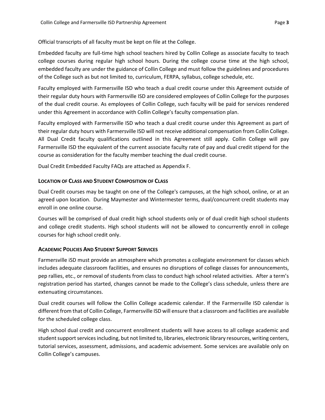Embedded faculty are full-time high school teachers hired by Collin College as associate faculty to teach college courses during regular high school hours. During the college course time at the high school, embedded faculty are under the guidance of Collin College and must follow the guidelines and procedures of the College such as but not limited to, curriculum, FERPA, syllabus, college schedule, etc.

Faculty employed with Farmersville ISD who teach a dual credit course under this Agreement outside of their regular duty hours with Farmersville ISD are considered employees of Collin College for the purposes of the dual credit course. As employees of Collin College, such faculty will be paid for services rendered under this Agreement in accordance with Collin College's faculty compensation plan.

Faculty employed with Farmersville ISD who teach a dual credit course under this Agreement as part of their regular duty hours with Farmersville ISD will not receive additional compensation from Collin College. All Dual Credit faculty qualifications outlined in this Agreement still apply. Collin College will pay Farmersville ISD the equivalent of the current associate faculty rate of pay and dual credit stipend for the course as consideration for the faculty member teaching the dual credit course.

Dual Credit Embedded Faculty FAQs are attached as Appendix F.

## **LOCATION OF CLASS AND STUDENT COMPOSITION OF CLASS**

Dual Credit courses may be taught on one of the College's campuses, at the high school, online, or at an agreed upon location. During Maymester and Wintermester terms, dual/concurrent credit students may enroll in one online course.

Courses will be comprised of dual credit high school students only or of dual credit high school students and college credit students. High school students will not be allowed to concurrently enroll in college courses for high school credit only.

## **ACADEMIC POLICIES AND STUDENT SUPPORT SERVICES**

Farmersville iSD must provide an atmosphere which promotes a collegiate environment for classes which includes adequate classroom facilities, and ensures no disruptions of college classes for announcements, pep rallies, etc., or removal of students from class to conduct high school related activities. After a term's registration period has started, changes cannot be made to the College's class schedule, unless there are extenuating circumstances.

Dual credit courses will follow the Collin College academic calendar. If the Farmersville ISD calendar is different from that of Collin College, Farmersville ISD will ensure that a classroom and facilities are available for the scheduled college class.

High school dual credit and concurrent enrollment students will have access to all college academic and student support services including, but not limited to, libraries, electronic library resources, writing centers, tutorial services, assessment, admissions, and academic advisement. Some services are available only on Collin College's campuses.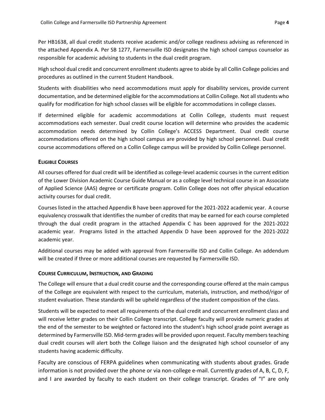Per HB1638, all dual credit students receive academic and/or college readiness advising as referenced in the attached Appendix A. Per SB 1277, Farmersville ISD designates the high school campus counselor as responsible for academic advising to students in the dual credit program.

High school dual credit and concurrent enrollment students agree to abide by all Collin College policies and procedures as outlined in the current Student Handbook.

Students with disabilities who need accommodations must apply for disability services, provide current documentation, and be determined eligible for the accommodations at Collin College. Not all students who qualify for modification for high school classes will be eligible for accommodations in college classes.

If determined eligible for academic accommodations at Collin College, students must request accommodations each semester. Dual credit course location will determine who provides the academic accommodation needs determined by Collin College's ACCESS Department. Dual credit course accommodations offered on the high school campus are provided by high school personnel. Dual credit course accommodations offered on a Collin College campus will be provided by Collin College personnel.

#### **ELIGIBLE COURSES**

All courses offered for dual credit will be identified as college-level academic courses in the current edition of the Lower Division Academic Course Guide Manual or as a college level technical course in an Associate of Applied Science (AAS) degree or certificate program. Collin College does not offer physical education activity courses for dual credit.

Courses listed in the attached Appendix B have been approved for the 2021-2022 academic year. A course equivalency crosswalk that identifies the number of credits that may be earned for each course completed through the dual credit program in the attached Appendix C has been approved for the 2021-2022 academic year. Programs listed in the attached Appendix D have been approved for the 2021-2022 academic year.

Additional courses may be added with approval from Farmersville ISD and Collin College. An addendum will be created if three or more additional courses are requested by Farmersville ISD.

#### **COURSE CURRICULUM, INSTRUCTION, AND GRADING**

The College will ensure that a dual credit course and the corresponding course offered at the main campus of the College are equivalent with respect to the curriculum, materials, instruction, and method/rigor of student evaluation. These standards will be upheld regardless of the student composition of the class.

Students will be expected to meet all requirements of the dual credit and concurrent enrollment class and will receive letter grades on their Collin College transcript. College faculty will provide numeric grades at the end of the semester to be weighted or factored into the student's high school grade point average as determined by Farmersville ISD. Mid-term grades will be provided upon request. Faculty members teaching dual credit courses will alert both the College liaison and the designated high school counselor of any students having academic difficulty.

Faculty are conscious of FERPA guidelines when communicating with students about grades. Grade information is not provided over the phone or via non-college e-mail. Currently grades of A, B, C, D, F, and I are awarded by faculty to each student on their college transcript. Grades of "I" are only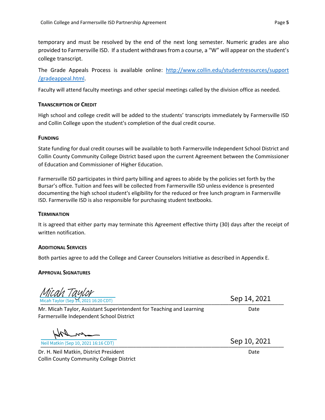temporary and must be resolved by the end of the next long semester. Numeric grades are also provided to Farmersville ISD. If a student withdrawsfrom a course, a "W" will appear on the student's college transcript.

The Grade Appeals Process is available online: http://www.collin.edu/studentresources/support /gradeappeal.html.

Faculty will attend faculty meetings and other special meetings called by the division office as needed.

#### **TRANSCRIPTION OF CREDIT**

High school and college credit will be added to the students' transcripts immediately by Farmersville ISD and Collin College upon the student's completion of the dual credit course.

#### **FUNDING**

State funding for dual credit courses will be available to both Farmersville Independent School District and Collin County Community College District based upon the current Agreement between the Commissioner of Education and Commissioner of Higher Education.

Farmersville ISD participates in third party billing and agrees to abide by the policies set forth by the Bursar's office. Tuition and fees will be collected from Farmersville ISD unless evidence is presented documenting the high school student's eligibility for the reduced or free lunch program in Farmersville ISD. Farmersville ISD is also responsible for purchasing student textbooks.

#### **TERMINATION**

It is agreed that either party may terminate this Agreement effective thirty (30) days after the receipt of written notification.

#### **ADDITIONAL SERVICES**

Both parties agree to add the College and Career Counselors Initiative as described in Appendix E.

## **APPROVAL SIGNATURES**

| Micah Taylor<br>Micah Taylor (Sep 14, 2021 16:20 CDT)                                                            | Sep 14, 2021 |
|------------------------------------------------------------------------------------------------------------------|--------------|
| Mr. Micah Taylor, Assistant Superintendent for Teaching and Learning<br>Farmersville Independent School District | Date         |
| Neil Matkin (Sep 10, 2021 16:16 CDT)                                                                             | Sep 10, 2021 |
| Dr. H. Neil Matkin, District President<br><b>Collin County Community College District</b>                        | Date         |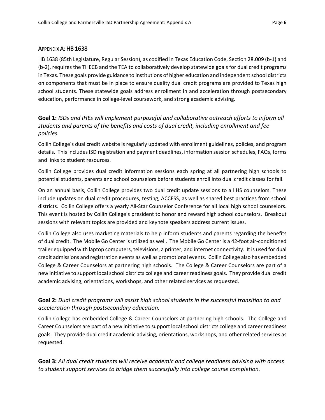# APPENDIX A: HB 1638

HB 1638 (85th Legislature, Regular Session), as codified in Texas Education Code, Section 28.009 (b-1) and (b-2), requires the THECB and the TEA to collaboratively develop statewide goals for dual credit programs in Texas. These goals provide guidance to institutions of higher education and independent school districts on components that must be in place to ensure quality dual credit programs are provided to Texas high school students. These statewide goals address enrollment in and acceleration through postsecondary education, performance in college-level coursework, and strong academic advising.

**Goal 1:** *ISDs and IHEs will implement purposeful and collaborative outreach efforts to inform all students and parents of the benefits and costs of dual credit, including enrollment and fee policies.*

Collin College's dual credit website is regularly updated with enrollment guidelines, policies, and program details. This includes ISD registration and payment deadlines, information session schedules, FAQs, forms and links to student resources.

Collin College provides dual credit information sessions each spring at all partnering high schools to potential students, parents and school counselors before students enroll into dual credit classes for fall.

On an annual basis, Collin College provides two dual credit update sessions to all HS counselors. These include updates on dual credit procedures, testing, ACCESS, as well as shared best practices from school districts. Collin College offers a yearly All-Star Counselor Conference for all local high school counselors. This event is hosted by Collin College's president to honor and reward high school counselors. Breakout sessions with relevant topics are provided and keynote speakers address current issues.

Collin College also uses marketing materials to help inform students and parents regarding the benefits of dual credit. The Mobile Go Center is utilized as well. The Mobile Go Center is a 42-foot air-conditioned trailer equipped with laptop computers, televisions, a printer, and internet connectivity. It is used for dual credit admissions and registration events as well as promotional events. Collin College also has embedded College & Career Counselors at partnering high schools. The College & Career Counselors are part of a new initiative to support local school districts college and career readiness goals. They provide dual credit academic advising, orientations, workshops, and other related services as requested.

# **Goal 2:** *Dual credit programs will assist high school students in the successful transition to and acceleration through postsecondary education.*

Collin College has embedded College & Career Counselors at partnering high schools. The College and Career Counselors are part of a new initiative to support local school districts college and career readiness goals. They provide dual credit academic advising, orientations, workshops, and other related services as requested.

**Goal 3:** *All dual credit students will receive academic and college readiness advising with access to student support services to bridge them successfully into college course completion.*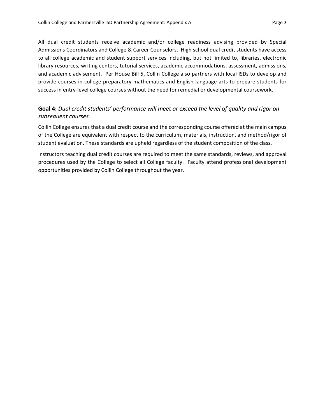All dual credit students receive academic and/or college readiness advising provided by Special Admissions Coordinators and College & Career Counselors. High school dual credit students have access to all college academic and student support services including, but not limited to, libraries, electronic library resources, writing centers, tutorial services, academic accommodations, assessment, admissions, and academic advisement. Per House Bill 5, Collin College also partners with local ISDs to develop and provide courses in college preparatory mathematics and English language arts to prepare students for success in entry-level college courses without the need for remedial or developmental coursework.

# **Goal 4:** *Dual credit students' performance will meet or exceed the level of quality and rigor on subsequent courses.*

Collin College ensures that a dual credit course and the corresponding course offered at the main campus of the College are equivalent with respect to the curriculum, materials, instruction, and method/rigor of student evaluation. These standards are upheld regardless of the student composition of the class.

Instructors teaching dual credit courses are required to meet the same standards, reviews, and approval procedures used by the College to select all College faculty. Faculty attend professional development opportunities provided by Collin College throughout the year.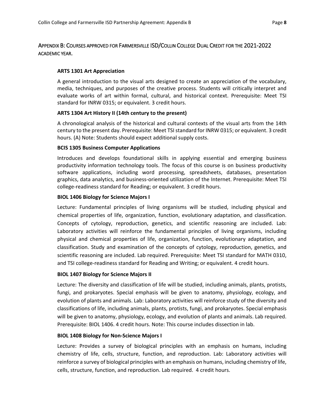# APPENDIX B: COURSES APPROVED FOR FARMERSVILLE ISD/COLLIN COLLEGE DUAL CREDIT FOR THE 2021-2022 ACADEMIC YEAR.

#### **ARTS 1301 Art Appreciation**

A general introduction to the visual arts designed to create an appreciation of the vocabulary, media, techniques, and purposes of the creative process. Students will critically interpret and evaluate works of art within formal, cultural, and historical context. Prerequisite: Meet TSI standard for INRW 0315; or equivalent. 3 credit hours.

#### **ARTS 1304 Art History II (14th century to the present)**

A chronological analysis of the historical and cultural contexts of the visual arts from the 14th century to the present day. Prerequisite: Meet TSI standard for INRW 0315; or equivalent. 3 credit hours. (A) Note: Students should expect additional supply costs.

#### **BCIS 1305 Business Computer Applications**

Introduces and develops foundational skills in applying essential and emerging business productivity information technology tools. The focus of this course is on business productivity software applications, including word processing, spreadsheets, databases, presentation graphics, data analytics, and business-oriented utilization of the Internet. Prerequisite: Meet TSI college-readiness standard for Reading; or equivalent. 3 credit hours.

#### **BIOL 1406 Biology for Science Majors I**

Lecture: Fundamental principles of living organisms will be studied, including physical and chemical properties of life, organization, function, evolutionary adaptation, and classification. Concepts of cytology, reproduction, genetics, and scientific reasoning are included. Lab: Laboratory activities will reinforce the fundamental principles of living organisms, including physical and chemical properties of life, organization, function, evolutionary adaptation, and classification. Study and examination of the concepts of cytology, reproduction, genetics, and scientific reasoning are included. Lab required. Prerequisite: Meet TSI standard for MATH 0310, and TSI college-readiness standard for Reading and Writing; or equivalent. 4 credit hours.

#### **BIOL 1407 Biology for Science Majors II**

Lecture: The diversity and classification of life will be studied, including animals, plants, protists, fungi, and prokaryotes. Special emphasis will be given to anatomy, physiology, ecology, and evolution of plants and animals. Lab: Laboratory activities will reinforce study of the diversity and classifications of life, including animals, plants, protists, fungi, and prokaryotes. Special emphasis will be given to anatomy, physiology, ecology, and evolution of plants and animals. Lab required. Prerequisite: BIOL 1406. 4 credit hours. Note: This course includes dissection in lab.

#### **BIOL 1408 Biology for Non-Science Majors I**

Lecture: Provides a survey of biological principles with an emphasis on humans, including chemistry of life, cells, structure, function, and reproduction. Lab: Laboratory activities will reinforce a survey of biological principles with an emphasis on humans, including chemistry of life, cells, structure, function, and reproduction. Lab required. 4 credit hours.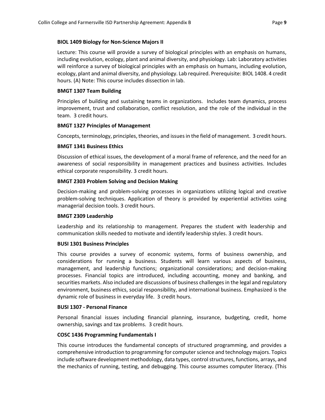Lecture: This course will provide a survey of biological principles with an emphasis on humans, including evolution, ecology, plant and animal diversity, and physiology. Lab: Laboratory activities will reinforce a survey of biological principles with an emphasis on humans, including evolution, ecology, plant and animal diversity, and physiology. Lab required. Prerequisite: BIOL 1408. 4 credit hours. (A) Note: This course includes dissection in lab.

#### **BMGT 1307 Team Building**

Principles of building and sustaining teams in organizations. Includes team dynamics, process improvement, trust and collaboration, conflict resolution, and the role of the individual in the team. 3 credit hours.

#### **BMGT 1327 Principles of Management**

Concepts, terminology, principles, theories, and issues in the field of management. 3 credit hours.

#### **BMGT 1341 Business Ethics**

Discussion of ethical issues, the development of a moral frame of reference, and the need for an awareness of social responsibility in management practices and business activities. Includes ethical corporate responsibility. 3 credit hours.

#### **BMGT 2303 Problem Solving and Decision Making**

Decision-making and problem-solving processes in organizations utilizing logical and creative problem-solving techniques. Application of theory is provided by experiential activities using managerial decision tools. 3 credit hours.

#### **BMGT 2309 Leadership**

Leadership and its relationship to management. Prepares the student with leadership and communication skills needed to motivate and identify leadership styles. 3 credit hours.

#### **BUSI 1301 Business Principles**

This course provides a survey of economic systems, forms of business ownership, and considerations for running a business. Students will learn various aspects of business, management, and leadership functions; organizational considerations; and decision-making processes. Financial topics are introduced, including accounting, money and banking, and securities markets. Also included are discussions of business challenges in the legal and regulatory environment, business ethics, social responsibility, and international business. Emphasized is the dynamic role of business in everyday life. 3 credit hours.

#### **BUSI 1307 - Personal Finance**

Personal financial issues including financial planning, insurance, budgeting, credit, home ownership, savings and tax problems. 3 credit hours.

#### **COSC 1436 Programming Fundamentals I**

This course introduces the fundamental concepts of structured programming, and provides a comprehensive introduction to programming for computer science and technology majors. Topics include software development methodology, data types, control structures, functions, arrays, and the mechanics of running, testing, and debugging. This course assumes computer literacy. (This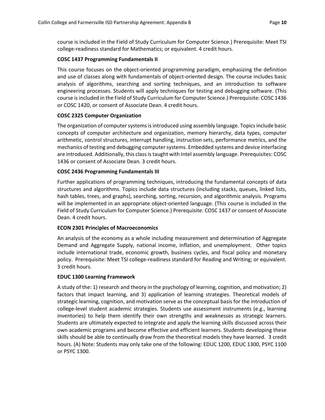course is included in the Field of Study Curriculum for Computer Science.) Prerequisite: Meet TSI college-readiness standard for Mathematics; or equivalent. 4 credit hours.

#### **COSC 1437 Programming Fundamentals II**

This course focuses on the object-oriented programming paradigm, emphasizing the definition and use of classes along with fundamentals of object-oriented design. The course includes basic analysis of algorithms, searching and sorting techniques, and an introduction to software engineering processes. Students will apply techniques for testing and debugging software. (This course is included in the Field of Study Curriculum for Computer Science.) Prerequisite: COSC 1436 or COSC 1420, or consent of Associate Dean. 4 credit hours.

#### **COSC 2325 Computer Organization**

The organization of computer systems is introduced using assembly language. Topics include basic concepts of computer architecture and organization, memory hierarchy, data types, computer arithmetic, control structures, interrupt handling, instruction sets, performance metrics, and the mechanics of testing and debugging computer systems. Embedded systems and device interfacing are introduced. Additionally, this class is taught with Intel assembly language. Prerequisites: COSC 1436 or consent of Associate Dean. 3 credit hours.

#### **COSC 2436 Programming Fundamentals III**

Further applications of programming techniques, introducing the fundamental concepts of data structures and algorithms. Topics include data structures (including stacks, queues, linked lists, hash tables, trees, and graphs), searching, sorting, recursion, and algorithmic analysis. Programs will be implemented in an appropriate object-oriented language. (This course is included in the Field of Study Curriculum for Computer Science.) Prerequisite: COSC 1437 or consent of Associate Dean. 4 credit hours.

#### **ECON 2301 Principles of Macroeconomics**

An analysis of the economy as a whole including measurement and determination of Aggregate Demand and Aggregate Supply, national income, inflation, and unemployment. Other topics include international trade, economic growth, business cycles, and fiscal policy and monetary policy. Prerequisite: Meet TSI college-readiness standard for Reading and Writing; or equivalent. 3 credit hours.

#### **EDUC 1300 Learning Framework**

A study of the: 1) research and theory in the psychology of learning, cognition, and motivation; 2) factors that impact learning, and 3) application of learning strategies. Theoretical models of strategic learning, cognition, and motivation serve as the conceptual basis for the introduction of college-level student academic strategies. Students use assessment instruments (e.g., learning inventories) to help them identify their own strengths and weaknesses as strategic learners. Students are ultimately expected to integrate and apply the learning skills discussed across their own academic programs and become effective and efficient learners. Students developing these skills should be able to continually draw from the theoretical models they have learned. 3 credit hours. (A) Note: Students may only take one of the following: EDUC 1200, EDUC 1300, PSYC 1100 or PSYC 1300.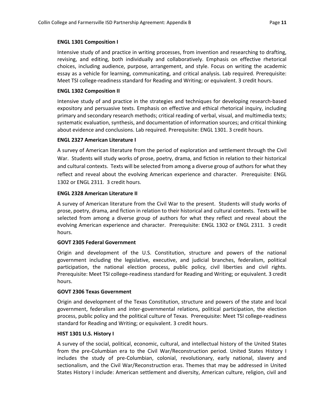#### **ENGL 1301 Composition I**

Intensive study of and practice in writing processes, from invention and researching to drafting, revising, and editing, both individually and collaboratively. Emphasis on effective rhetorical choices, including audience, purpose, arrangement, and style. Focus on writing the academic essay as a vehicle for learning, communicating, and critical analysis. Lab required. Prerequisite: Meet TSI college-readiness standard for Reading and Writing; or equivalent. 3 credit hours.

#### **ENGL 1302 Composition II**

Intensive study of and practice in the strategies and techniques for developing research-based expository and persuasive texts. Emphasis on effective and ethical rhetorical inquiry, including primary and secondary research methods; critical reading of verbal, visual, and multimedia texts; systematic evaluation, synthesis, and documentation of information sources; and critical thinking about evidence and conclusions. Lab required. Prerequisite: ENGL 1301. 3 credit hours.

#### **ENGL 2327 American Literature I**

A survey of American literature from the period of exploration and settlement through the Civil War. Students will study works of prose, poetry, drama, and fiction in relation to their historical and cultural contexts. Texts will be selected from among a diverse group of authors for what they reflect and reveal about the evolving American experience and character. Prerequisite: ENGL 1302 or ENGL 2311. 3 credit hours.

#### **ENGL 2328 American Literature II**

A survey of American literature from the Civil War to the present. Students will study works of prose, poetry, drama, and fiction in relation to their historical and cultural contexts. Texts will be selected from among a diverse group of authors for what they reflect and reveal about the evolving American experience and character. Prerequisite: ENGL 1302 or ENGL 2311. 3 credit hours.

#### **GOVT 2305 Federal Government**

Origin and development of the U.S. Constitution, structure and powers of the national government including the legislative, executive, and judicial branches, federalism, political participation, the national election process, public policy, civil liberties and civil rights. Prerequisite: Meet TSI college-readiness standard for Reading and Writing; or equivalent. 3 credit hours.

#### **GOVT 2306 Texas Government**

Origin and development of the Texas Constitution, structure and powers of the state and local government, federalism and inter-governmental relations, political participation, the election process, public policy and the political culture of Texas. Prerequisite: Meet TSI college-readiness standard for Reading and Writing; or equivalent. 3 credit hours.

#### **HIST 1301 U.S. History I**

A survey of the social, political, economic, cultural, and intellectual history of the United States from the pre-Columbian era to the Civil War/Reconstruction period. United States History I includes the study of pre-Columbian, colonial, revolutionary, early national, slavery and sectionalism, and the Civil War/Reconstruction eras. Themes that may be addressed in United States History I include: American settlement and diversity, American culture, religion, civil and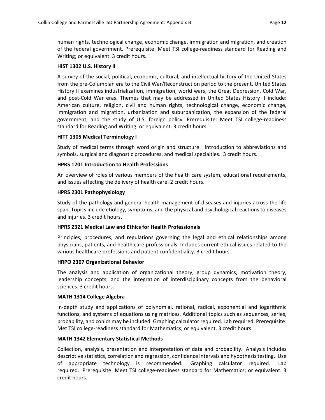human rights, technological change, economic change, immigration and migration, and creation of the federal government. Prerequisite: Meet TSI college-readiness standard for Reading and Writing; or equivalent. 3 credit hours.

#### **HIST 1302 U.S. History II**

A survey of the social, political, economic, cultural, and intellectual history of the United States from the pre-Columbian era to the Civil War/Reconstruction period to the present. United States History II examines industrialization, immigration, world wars, the Great Depression, Cold War, and post-Cold War eras. Themes that may be addressed in United States History II include: American culture, religion, civil and human rights, technological change, economic change, immigration and migration, urbanization and suburbanization, the expansion of the federal government, and the study of U.S. foreign policy. Prerequisite: Meet TSI college-readiness standard for Reading and Writing: or equivalent. 3 credit hours.

#### **HITT 1305 Medical Terminology I**

Study of medical terms through word origin and structure. Introduction to abbreviations and symbols, surgical and diagnostic procedures, and medical specialties. 3 credit hours.

#### **HPRS 1201 Introduction to Health Professions**

An overview of roles of various members of the health care system, educational requirements, and issues affecting the delivery of health care. 2 credit hours.

#### **HPRS 2301 Pathophysiology**

Study of the pathology and general health management of diseases and injuries across the life span. Topics include etiology, symptoms, and the physical and psychological reactions to diseases and injuries. 3 credit hours.

#### **HPRS 2321 Medical Law and Ethics for Health Professionals**

Principles, procedures, and regulations governing the legal and ethical relationships among physicians, patients, and health care professionals. Includes current ethical issues related to the various healthcare professions and patient confidentiality. 3 credit hours.

#### **HRPO 2307 Organizational Behavior**

The analysis and application of organizational theory, group dynamics, motivation theory, leadership concepts, and the integration of interdisciplinary concepts from the behavioral sciences. 3 credit hours.

#### **MATH 1314 College Algebra**

In-depth study and applications of polynomial, rational, radical, exponential and logarithmic functions, and systems of equations using matrices. Additional topics such as sequences, series, probability, and conics may be included. Graphing calculator required. Lab required. Prerequisite: Met TSI college-readiness standard for Mathematics; or equivalent. 3 credit hours.

#### **MATH 1342 Elementary Statistical Methods**

Collection, analysis, presentation and interpretation of data and probability. Analysis includes descriptive statistics, correlation and regression, confidence intervals and hypothesistesting. Use of appropriate technology is recommended. Graphing calculator required. Lab required. Prerequisite: Meet TSI college-readiness standard for Mathematics; or equivalent. 3 credit hours.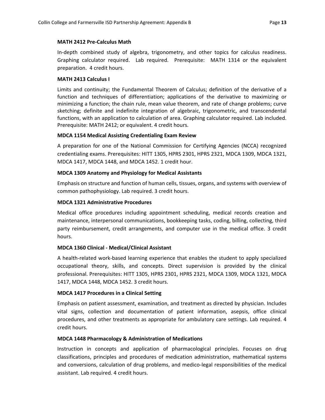#### **MATH 2412 Pre-Calculus Math**

In-depth combined study of algebra, trigonometry, and other topics for calculus readiness. Graphing calculator required. Lab required. Prerequisite: MATH 1314 or the equivalent preparation. 4 credit hours.

#### **MATH 2413 Calculus I**

Limits and continuity; the Fundamental Theorem of Calculus; definition of the derivative of a function and techniques of differentiation; applications of the derivative to maximizing or minimizing a function; the chain rule, mean value theorem, and rate of change problems; curve sketching; definite and indefinite integration of algebraic, trigonometric, and transcendental functions, with an application to calculation of area. Graphing calculator required. Lab included. Prerequisite: MATH 2412; or equivalent. 4 credit hours.

#### **MDCA 1154 Medical Assisting Credentialing Exam Review**

A preparation for one of the National Commission for Certifying Agencies (NCCA) recognized credentialing exams. Prerequisites: HITT 1305, HPRS 2301, HPRS 2321, MDCA 1309, MDCA 1321, MDCA 1417, MDCA 1448, and MDCA 1452. 1 credit hour.

#### **MDCA 1309 Anatomy and Physiology for Medical Assistants**

Emphasis on structure and function of human cells, tissues, organs, and systems with overview of common pathophysiology. Lab required. 3 credit hours.

#### **MDCA 1321 Administrative Procedures**

Medical office procedures including appointment scheduling, medical records creation and maintenance, interpersonal communications, bookkeeping tasks, coding, billing, collecting, third party reimbursement, credit arrangements, and computer use in the medical office. 3 credit hours.

#### **MDCA 1360 Clinical - Medical/Clinical Assistant**

A health-related work-based learning experience that enables the student to apply specialized occupational theory, skills, and concepts. Direct supervision is provided by the clinical professional. Prerequisites: HITT 1305, HPRS 2301, HPRS 2321, MDCA 1309, MDCA 1321, MDCA 1417, MDCA 1448, MDCA 1452. 3 credit hours.

#### **MDCA 1417 Procedures in a Clinical Setting**

Emphasis on patient assessment, examination, and treatment as directed by physician. Includes vital signs, collection and documentation of patient information, asepsis, office clinical procedures, and other treatments as appropriate for ambulatory care settings. Lab required. 4 credit hours.

#### **MDCA 1448 Pharmacology & Administration of Medications**

Instruction in concepts and application of pharmacological principles. Focuses on drug classifications, principles and procedures of medication administration, mathematical systems and conversions, calculation of drug problems, and medico-legal responsibilities of the medical assistant. Lab required. 4 credit hours.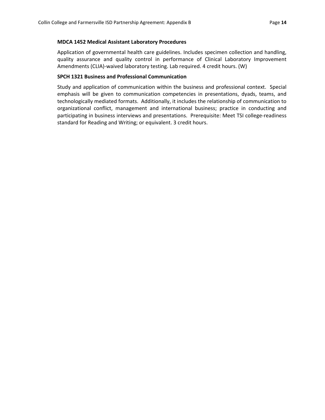#### **MDCA 1452 Medical Assistant Laboratory Procedures**

Application of governmental health care guidelines. Includes specimen collection and handling, quality assurance and quality control in performance of Clinical Laboratory Improvement Amendments (CLIA)-waived laboratory testing. Lab required. 4 credit hours. (W)

#### **SPCH 1321 Business and Professional Communication**

Study and application of communication within the business and professional context. Special emphasis will be given to communication competencies in presentations, dyads, teams, and technologically mediated formats. Additionally, it includes the relationship of communication to organizational conflict, management and international business; practice in conducting and participating in business interviews and presentations. Prerequisite: Meet TSI college-readiness standard for Reading and Writing; or equivalent. 3 credit hours.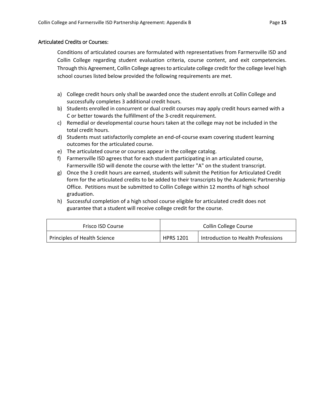#### Articulated Credits or Courses:

Conditions of articulated courses are formulated with representatives from Farmersville ISD and Collin College regarding student evaluation criteria, course content, and exit competencies. Through this Agreement, Collin College agrees to articulate college credit for the college level high school courses listed below provided the following requirements are met.

- a) College credit hours only shall be awarded once the student enrolls at Collin College and successfully completes 3 additional credit hours.
- b) Students enrolled in concurrent or dual credit courses may apply credit hours earned with a C or better towards the fulfillment of the 3-credit requirement.
- c) Remedial or developmental course hours taken at the college may not be included in the total credit hours.
- d) Students must satisfactorily complete an end-of-course exam covering student learning outcomes for the articulated course.
- e) The articulated course or courses appear in the college catalog.
- f) Farmersville ISD agrees that for each student participating in an articulated course, Farmersville ISD will denote the course with the letter "A" on the student transcript.
- g) Once the 3 credit hours are earned, students will submit the Petition for Articulated Credit form for the articulated credits to be added to their transcripts by the Academic Partnership Office. Petitions must be submitted to Collin College within 12 months of high school graduation.
- h) Successful completion of a high school course eligible for articulated credit does not guarantee that a student will receive college credit for the course.

| <b>Frisco ISD Course</b>     | Collin College Course |                                    |
|------------------------------|-----------------------|------------------------------------|
| Principles of Health Science | <b>HPRS 1201</b>      | Introduction to Health Professions |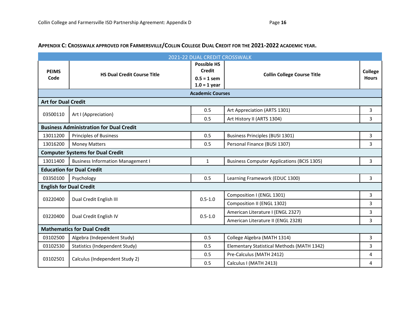| 2021-22 DUAL CREDIT CROSSWALK      |                                                             |                                                                        |                                                   |                                |
|------------------------------------|-------------------------------------------------------------|------------------------------------------------------------------------|---------------------------------------------------|--------------------------------|
| <b>PEIMS</b><br>Code               | <b>HS Dual Credit Course Title</b>                          | <b>Possible HS</b><br><b>Credit</b><br>$0.5 = 1$ sem<br>$1.0 = 1$ year | <b>Collin College Course Title</b>                | <b>College</b><br><b>Hours</b> |
|                                    |                                                             | <b>Academic Courses</b>                                                |                                                   |                                |
| <b>Art for Dual Credit</b>         |                                                             |                                                                        |                                                   |                                |
| 03500110                           | Art I (Appreciation)                                        | 0.5                                                                    | Art Appreciation (ARTS 1301)                      | 3                              |
|                                    |                                                             | 0.5                                                                    | Art History II (ARTS 1304)                        | 3                              |
|                                    | <b>Business Administration for Dual Credit</b>              |                                                                        |                                                   |                                |
| 13011200                           | <b>Principles of Business</b>                               | 0.5                                                                    | <b>Business Principles (BUSI 1301)</b>            | 3                              |
| 13016200                           | Personal Finance (BUSI 1307)<br><b>Money Matters</b><br>0.5 |                                                                        |                                                   | $\overline{3}$                 |
|                                    | <b>Computer Systems for Dual Credit</b>                     |                                                                        |                                                   |                                |
| 13011400                           | <b>Business Information Management I</b>                    | $\mathbf{1}$                                                           | <b>Business Computer Applications (BCIS 1305)</b> | 3                              |
| <b>Education for Dual Credit</b>   |                                                             |                                                                        |                                                   |                                |
| 03350100                           | Psychology                                                  | 0.5                                                                    | Learning Framework (EDUC 1300)                    | 3                              |
| <b>English for Dual Credit</b>     |                                                             |                                                                        |                                                   |                                |
| 03220400                           | Dual Credit English III                                     | $0.5 - 1.0$                                                            | Composition I (ENGL 1301)                         | 3                              |
|                                    |                                                             |                                                                        | Composition II (ENGL 1302)                        | 3                              |
| 03220400                           | Dual Credit English IV                                      | $0.5 - 1.0$                                                            | American Literature I (ENGL 2327)                 | 3                              |
|                                    |                                                             |                                                                        | American Literature II (ENGL 2328)                | $\overline{3}$                 |
| <b>Mathematics for Dual Credit</b> |                                                             |                                                                        |                                                   |                                |
| 03102500                           | Algebra (Independent Study)                                 | 0.5                                                                    | College Algebra (MATH 1314)                       | 3                              |
| 03102530                           | Statistics (Independent Study)                              | 0.5                                                                    | Elementary Statistical Methods (MATH 1342)        | 3                              |
| 03102501                           | Calculus (Independent Study 2)                              | 0.5                                                                    | Pre-Calculus (MATH 2412)                          | 4                              |
|                                    |                                                             | 0.5                                                                    | Calculus I (MATH 2413)                            | 4                              |

# **APPENDIX C: CROSSWALK APPROVED FOR FARMERSVILLE/COLLIN COLLEGE DUAL CREDIT FOR THE 2021-2022 ACADEMIC YEAR.**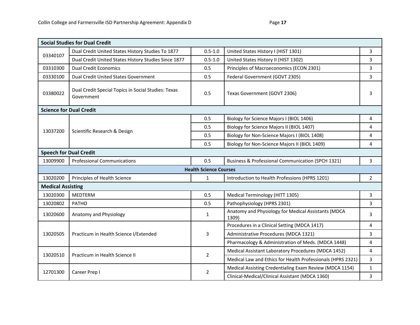| <b>Social Studies for Dual Credit</b>                            |                                                                   |                |                                                              |                |
|------------------------------------------------------------------|-------------------------------------------------------------------|----------------|--------------------------------------------------------------|----------------|
|                                                                  | Dual Credit United States History Studies To 1877                 | $0.5 - 1.0$    | United States History I (HIST 1301)                          | 3              |
| 03340107<br>Dual Credit United States History Studies Since 1877 |                                                                   | $0.5 - 1.0$    | United States History II (HIST 1302)                         | 3              |
| 03310300                                                         | <b>Dual Credit Economics</b>                                      | 0.5            | Principles of Macroeconomics (ECON 2301)                     | 3              |
| 03330100                                                         | Dual Credit United States Government                              | 0.5            | Federal Government (GOVT 2305)                               | 3              |
| 03380022                                                         | Dual Credit Special Topics in Social Studies: Texas<br>Government | 0.5            | Texas Government (GOVT 2306)                                 | 3              |
| <b>Science for Dual Credit</b>                                   |                                                                   |                |                                                              |                |
|                                                                  |                                                                   | 0.5            | Biology for Science Majors I (BIOL 1406)                     | 4              |
| 13037200                                                         |                                                                   | 0.5            | Biology for Science Majors II (BIOL 1407)                    | 4              |
|                                                                  | Scientific Research & Design                                      | 0.5            | Biology for Non-Science Majors I (BIOL 1408)                 | 4              |
|                                                                  |                                                                   | 0.5            | Biology for Non-Science Majors II (BIOL 1409)                | 4              |
| <b>Speech for Dual Credit</b>                                    |                                                                   |                |                                                              |                |
| 13009900                                                         | <b>Professional Communications</b>                                | 0.5            | Business & Professional Communication (SPCH 1321)            | 3              |
| <b>Health Science Courses</b>                                    |                                                                   |                |                                                              |                |
| 13020200                                                         | Principles of Health Science                                      | $\mathbf{1}$   | Introduction to Health Professions (HPRS 1201)               | $\overline{2}$ |
| <b>Medical Assisting</b>                                         |                                                                   |                |                                                              |                |
| 13020300                                                         | <b>MEDTERM</b>                                                    | 0.5            | Medical Terminology (HITT 1305)                              | 3              |
| 13020802                                                         | <b>PATHO</b>                                                      | 0.5            | Pathophysiology (HPRS 2301)                                  | 3              |
| 13020600                                                         | Anatomy and Physiology                                            | $\mathbf{1}$   | Anatomy and Physiology for Medical Assistants (MDCA<br>1309) | 3              |
|                                                                  | Practicum in Health Science I/Extended                            | 3              | Procedures in a Clinical Setting (MDCA 1417)                 | 4              |
| 13020505                                                         |                                                                   |                | Administrative Procedures (MDCA 1321)                        | 3              |
|                                                                  |                                                                   |                | Pharmacology & Administration of Meds. (MDCA 1448)           | 4              |
| 13020510                                                         | Practicum in Health Science II                                    | $\overline{2}$ | Medical Assistant Laboratory Procedures (MDCA 1452)          | 4              |
|                                                                  |                                                                   |                | Medical Law and Ethics for Health Professionals (HPRS 2321)  | 3              |
| 12701300                                                         | Career Prep I                                                     | $\overline{2}$ | Medical Assisting Credentialing Exam Review (MDCA 1154)      | $\mathbf{1}$   |
|                                                                  |                                                                   |                | Clinical-Medical/Clinical Assistant (MDCA 1360)              | 3              |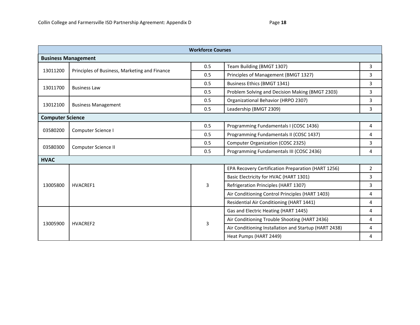| 100<br>_ |  |
|----------|--|
|----------|--|

| <b>Workforce Courses</b>   |                                               |     |                                                       |                |
|----------------------------|-----------------------------------------------|-----|-------------------------------------------------------|----------------|
| <b>Business Management</b> |                                               |     |                                                       |                |
| 13011200                   | Principles of Business, Marketing and Finance | 0.5 | Team Building (BMGT 1307)                             | 3              |
|                            |                                               | 0.5 | Principles of Management (BMGT 1327)                  | 3              |
|                            | <b>Business Law</b>                           | 0.5 | <b>Business Ethics (BMGT 1341)</b>                    | 3              |
| 13011700                   |                                               | 0.5 | Problem Solving and Decision Making (BMGT 2303)       | 3              |
|                            |                                               | 0.5 | Organizational Behavior (HRPO 2307)                   | 3              |
| 13012100                   | <b>Business Management</b>                    | 0.5 | Leadership (BMGT 2309)                                | 3              |
| <b>Computer Science</b>    |                                               |     |                                                       |                |
|                            |                                               | 0.5 | Programming Fundamentals I (COSC 1436)                | 4              |
| 03580200                   | Computer Science I                            | 0.5 | Programming Fundamentals II (COSC 1437)               | 4              |
|                            | Computer Science II                           | 0.5 | Computer Organization (COSC 2325)                     | 3              |
| 03580300                   |                                               | 0.5 | Programming Fundamentals III (COSC 2436)              | 4              |
| <b>HVAC</b>                |                                               |     |                                                       |                |
|                            |                                               | 3   | EPA Recovery Certification Preparation (HART 1256)    | $\overline{2}$ |
|                            | <b>HVACREF1</b>                               |     | Basic Electricity for HVAC (HART 1301)                | 3              |
| 13005800                   |                                               |     | Refrigeration Principles (HART 1307)                  | 3              |
|                            |                                               |     | Air Conditioning Control Principles (HART 1403)       | 4              |
|                            |                                               |     | Residential Air Conditioning (HART 1441)              | 4              |
|                            |                                               | 3   | Gas and Electric Heating (HART 1445)                  | 4              |
|                            | <b>HVACREF2</b>                               |     | Air Conditioning Trouble Shooting (HART 2436)         | 4              |
| 13005900                   |                                               |     | Air Conditioning Installation and Startup (HART 2438) | 4              |
|                            |                                               |     | Heat Pumps (HART 2449)                                | 4              |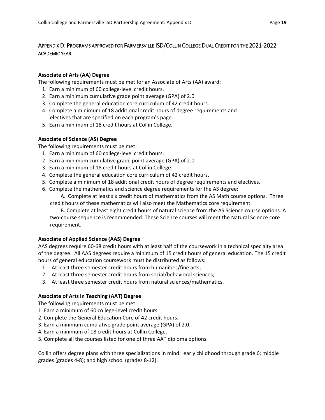# APPENDIX D: PROGRAMS APPROVED FOR FARMERSVILLE ISD/COLLIN COLLEGE DUAL CREDIT FOR THE 2021-2022 ACADEMIC YEAR.

#### **Associate of Arts (AA) Degree**

The following requirements must be met for an Associate of Arts (AA) award:

- 1. Earn a minimum of 60 college-level credit hours.
- 2. Earn a minimum cumulative grade point average (GPA) of 2.0
- 3. Complete the general education core curriculum of 42 credit hours.
- 4. Complete a minimum of 18 additional credit hours of degree requirements and electives that are specified on each program's page.
- 5. Earn a minimum of 18 credit hours at Collin College.

#### **Associate of Science (AS) Degree**

The following requirements must be met:

- 1. Earn a minimum of 60 college-level credit hours.
- 2. Earn a minimum cumulative grade point average (GPA) of 2.0
- 3. Earn a minimum of 18 credit hours at Collin College.
- 4. Complete the general education core curriculum of 42 credit hours.
- 5. Complete a minimum of 18 additional credit hours of degree requirements and electives.
- 6. Complete the mathematics and science degree requirements for the AS degree:

 A. Complete at least six credit hours of mathematics from the AS Math course options. Three credit hours of these mathematics will also meet the Mathematics core requirement.

 B. Complete at least eight credit hours of natural science from the AS Science course options. A two-course sequence is recommended. These Science courses will meet the Natural Science core requirement.

#### **Associate of Applied Science (AAS) Degree**

AAS degrees require 60-68 credit hours with at least half of the coursework in a technical specialty area of the degree. All AAS degrees require a minimum of 15 credit hours of general education. The 15 credit hours of general education coursework must be distributed as follows:

- 1. At least three semester credit hours from humanities/fine arts;
- 2. At least three semester credit hours from social/behavioral sciences;
- 3. At least three semester credit hours from natural sciences/mathematics.

#### **Associate of Arts in Teaching (AAT) Degree**

The following requirements must be met:

- 1. Earn a minimum of 60 college-level credit hours.
- 2. Complete the General Education Core of 42 credit hours.
- 3. Earn a minimum cumulative grade point average (GPA) of 2.0.
- 4. Earn a minimum of 18 credit hours at Collin College.
- 5. Complete all the courses listed for one of three AAT diploma options.

Collin offers degree plans with three specializations in mind: early childhood through grade 6; middle grades (grades 4-8); and high school (grades 8-12).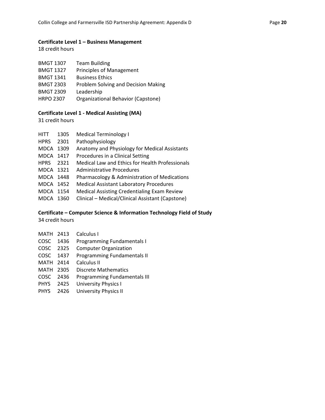# **Certificate Level 1 – Business Management**

18 credit hours

| <b>BMGT 1307</b> | <b>Team Building</b>                |
|------------------|-------------------------------------|
| <b>BMGT 1327</b> | <b>Principles of Management</b>     |
| <b>BMGT 1341</b> | <b>Business Ethics</b>              |
| <b>BMGT 2303</b> | Problem Solving and Decision Making |
| <b>BMGT 2309</b> | Leadership                          |
| <b>HRPO 2307</b> | Organizational Behavior (Capstone)  |

# **Certificate Level 1 - Medical Assisting (MA)**

31 credit hours

| <b>HITT</b> | 1305 | <b>Medical Terminology I</b>                       |
|-------------|------|----------------------------------------------------|
| <b>HPRS</b> | 2301 | Pathophysiology                                    |
| MDCA 1309   |      | Anatomy and Physiology for Medical Assistants      |
| MDCA 1417   |      | Procedures in a Clinical Setting                   |
| <b>HPRS</b> | 2321 | Medical Law and Ethics for Health Professionals    |
| MDCA 1321   |      | Administrative Procedures                          |
| MDCA 1448   |      | Pharmacology & Administration of Medications       |
| MDCA 1452   |      | <b>Medical Assistant Laboratory Procedures</b>     |
| MDCA 1154   |      | <b>Medical Assisting Credentialing Exam Review</b> |
| MDCA 1360   |      | Clinical - Medical/Clinical Assistant (Capstone)   |

# **Certificate – Computer Science & Information Technology Field of Study**

34 credit hours

| MATH 2413   |      | Calculus I                          |
|-------------|------|-------------------------------------|
| COSC        | 1436 | Programming Fundamentals I          |
| <b>COSC</b> | 2325 | <b>Computer Organization</b>        |
| <b>COSC</b> | 1437 | Programming Fundamentals II         |
| MATH 2414   |      | Calculus II                         |
| MATH 2305   |      | <b>Discrete Mathematics</b>         |
| COSC        | 2436 | <b>Programming Fundamentals III</b> |
| <b>PHYS</b> | 2425 | <b>University Physics I</b>         |

PHYS 2426 University Physics II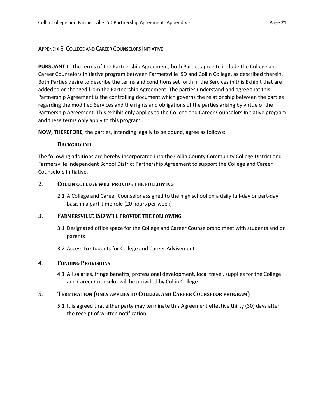#### APPENDIX E: COLLEGE AND CAREER COUNSELORS INITIATIVE

**PURSUANT** to the terms of the Partnership Agreement, both Parties agree to include the College and Career Counselors Initiative program between Farmersville ISD and Collin College, as described therein. Both Parties desire to describe the terms and conditions set forth in the Services in this Exhibit that are added to or changed from the Partnership Agreement. The parties understand and agree that this Partnership Agreement is the controlling document which governs the relationship between the parties regarding the modified Services and the rights and obligations of the parties arising by virtue of the Partnership Agreement. This exhibit only applies to the College and Career Counselors Initiative program and these terms only apply to this program.

**NOW, THEREFORE**, the parties, intending legally to be bound, agree as follows:

#### 1. **BACKGROUND**

The following additions are hereby incorporated into the Collin County Community College District and Farmersville Independent School District Partnership Agreement to support the College and Career Counselors Initiative.

#### 2. **COLLIN COLLEGE WILL PROVIDE THE FOLLOWING**

2.1 A College and Career Counselor assigned to the high school on a daily full-day or part-day basis in a part-time role (20 hours per week)

#### 3. **FARMERSVILLE ISD WILL PROVIDE THE FOLLOWING**

- 3.1 Designated office space for the College and Career Counselors to meet with students and or parents
- 3.2 Access to students for College and Career Advisement

#### 4. **FUNDING PROVISIONS**

4.1 All salaries, fringe benefits, professional development, local travel, supplies for the College and Career Counselor will be provided by Collin College.

## 5. **TERMINATION (ONLY APPLIES TO COLLEGE AND CAREER COUNSELOR PROGRAM)**

5.1 It is agreed that either party may terminate this Agreement effective thirty (30) days after the receipt of written notification.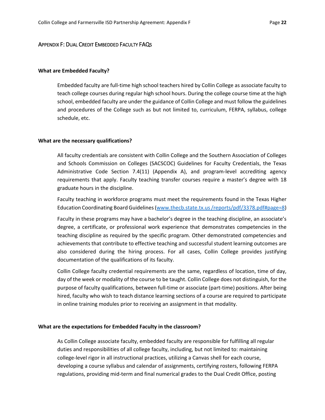#### APPENDIX F: DUAL CREDIT EMBEDDED FACULTY FAQS

#### **What are Embedded Faculty?**

Embedded faculty are full-time high school teachers hired by Collin College as associate faculty to teach college courses during regular high school hours. During the college course time at the high school, embedded faculty are under the guidance of Collin College and must follow the guidelines and procedures of the College such as but not limited to, curriculum, FERPA, syllabus, college schedule, etc.

#### **What are the necessary qualifications?**

All faculty credentials are consistent with Collin College and the Southern Association of Colleges and Schools Commission on Colleges (SACSCOC) Guidelines for Faculty Credentials, the Texas Administrative Code Section 7.4(11) (Appendix A), and program-level accrediting agency requirements that apply. Faculty teaching transfer courses require a master's degree with 18 graduate hours in the discipline.

Faculty teaching in workforce programs must meet the requirements found in the Texas Higher Education Coordinating Board Guidelines (www.thecb.state.tx.us /reports/pdf/3378.pdf#page=8)

Faculty in these programs may have a bachelor's degree in the teaching discipline, an associate's degree, a certificate, or professional work experience that demonstrates competencies in the teaching discipline as required by the specific program. Other demonstrated competencies and achievements that contribute to effective teaching and successful student learning outcomes are also considered during the hiring process. For all cases, Collin College provides justifying documentation of the qualifications of its faculty.

Collin College faculty credential requirements are the same, regardless of location, time of day, day of the week or modality of the course to be taught. Collin College does not distinguish, for the purpose of faculty qualifications, between full-time or associate (part-time) positions. After being hired, faculty who wish to teach distance learning sections of a course are required to participate in online training modules prior to receiving an assignment in that modality.

#### **What are the expectations for Embedded Faculty in the classroom?**

As Collin College associate faculty, embedded faculty are responsible for fulfilling all regular duties and responsibilities of all college faculty, including, but not limited to: maintaining college-level rigor in all instructional practices, utilizing a Canvas shell for each course, developing a course syllabus and calendar of assignments, certifying rosters, following FERPA regulations, providing mid-term and final numerical grades to the Dual Credit Office, posting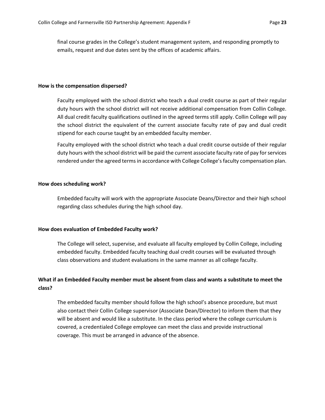final course grades in the College's student management system, and responding promptly to emails, request and due dates sent by the offices of academic affairs.

#### **How is the compensation dispersed?**

Faculty employed with the school district who teach a dual credit course as part of their regular duty hours with the school district will not receive additional compensation from Collin College. All dual credit faculty qualifications outlined in the agreed terms still apply. Collin College will pay the school district the equivalent of the current associate faculty rate of pay and dual credit stipend for each course taught by an embedded faculty member.

Faculty employed with the school district who teach a dual credit course outside of their regular duty hours with the school district will be paid the current associate faculty rate of pay for services rendered under the agreed terms in accordance with College College's faculty compensation plan.

#### **How does scheduling work?**

Embedded faculty will work with the appropriate Associate Deans/Director and their high school regarding class schedules during the high school day.

#### **How does evaluation of Embedded Faculty work?**

The College will select, supervise, and evaluate all faculty employed by Collin College, including embedded faculty. Embedded faculty teaching dual credit courses will be evaluated through class observations and student evaluations in the same manner as all college faculty.

# **What if an Embedded Faculty member must be absent from class and wants a substitute to meet the class?**

The embedded faculty member should follow the high school's absence procedure, but must also contact their Collin College supervisor (Associate Dean/Director) to inform them that they will be absent and would like a substitute. In the class period where the college curriculum is covered, a credentialed College employee can meet the class and provide instructional coverage. This must be arranged in advance of the absence.